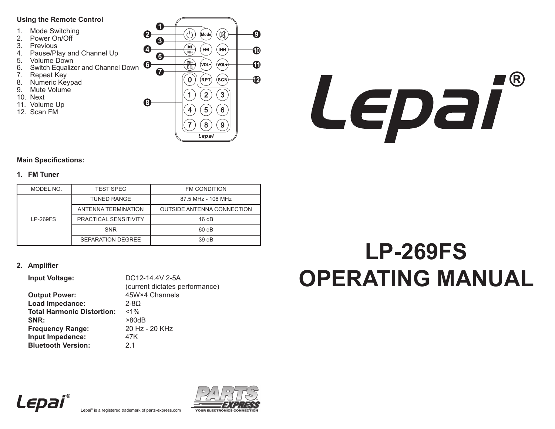## **Using the Remote Control**

- 1. Mode Switching
- 2. Power On/Off
- 3. Previous
- 4. Pause/Play and Channel Up
- 5. Volume Down
- 6. Switch Equalizer and Channel Down
- 7. Repeat Key
- 8. Numeric Keypad
- 9. Mute Volume
- 10. Next
- 11. Volume Up
- 12. Scan FM





## **Main Specifications:**

## **1. FM Tuner**

| MODEL NO.       | <b>TEST SPEC</b>             | <b>FM CONDITION</b>               |  |
|-----------------|------------------------------|-----------------------------------|--|
|                 | <b>TUNED RANGE</b>           | 87.5 MHz - 108 MHz                |  |
| <b>LP-269FS</b> | ANTENNA TERMINATION          | <b>OUTSIDE ANTENNA CONNECTION</b> |  |
|                 | <b>PRACTICAL SENSITIVITY</b> | 16 dB                             |  |
|                 | <b>SNR</b>                   | 60 dB                             |  |
|                 | SEPARATION DEGREE            | 39dB                              |  |

## **2. Amplifier**

| DC12-14.4V 2-5A                |  |  |
|--------------------------------|--|--|
| (current dictates performance) |  |  |
| 45W×4 Channels                 |  |  |
| $2 - 80$                       |  |  |
| $< 1\%$                        |  |  |
| >80dB                          |  |  |
| 20 Hz - 20 KHz                 |  |  |
| 47K                            |  |  |
|                                |  |  |
|                                |  |  |

# **LP-269FS OPERATING MANUAL**